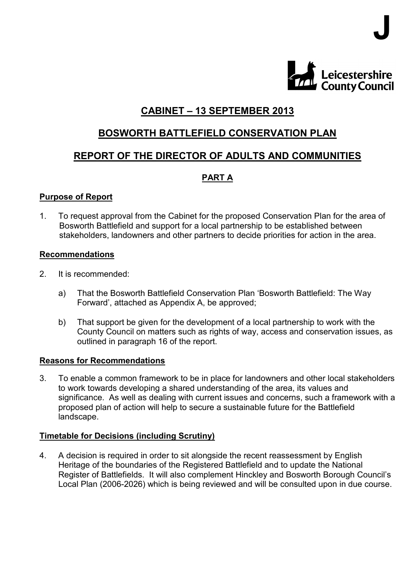

J

# CABINET – 13 SEPTEMBER 2013

## BOSWORTH BATTLEFIELD CONSERVATION PLAN

## REPORT OF THE DIRECTOR OF ADULTS AND COMMUNITIES

## PART A

#### Purpose of Report

1. To request approval from the Cabinet for the proposed Conservation Plan for the area of Bosworth Battlefield and support for a local partnership to be established between stakeholders, landowners and other partners to decide priorities for action in the area.

#### Recommendations

- 2. It is recommended:
	- a) That the Bosworth Battlefield Conservation Plan 'Bosworth Battlefield: The Way Forward', attached as Appendix A, be approved;
	- b) That support be given for the development of a local partnership to work with the County Council on matters such as rights of way, access and conservation issues, as outlined in paragraph 16 of the report.

#### Reasons for Recommendations

3. To enable a common framework to be in place for landowners and other local stakeholders to work towards developing a shared understanding of the area, its values and significance. As well as dealing with current issues and concerns, such a framework with a proposed plan of action will help to secure a sustainable future for the Battlefield landscape.

#### Timetable for Decisions (including Scrutiny)

4. A decision is required in order to sit alongside the recent reassessment by English Heritage of the boundaries of the Registered Battlefield and to update the National Register of Battlefields. It will also complement Hinckley and Bosworth Borough Council's Local Plan (2006-2026) which is being reviewed and will be consulted upon in due course.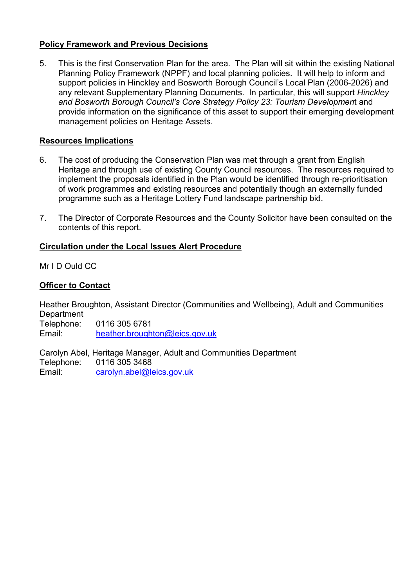## Policy Framework and Previous Decisions

5. This is the first Conservation Plan for the area. The Plan will sit within the existing National Planning Policy Framework (NPPF) and local planning policies. It will help to inform and support policies in Hinckley and Bosworth Borough Council's Local Plan (2006-2026) and any relevant Supplementary Planning Documents. In particular, this will support Hinckley and Bosworth Borough Council's Core Strategy Policy 23: Tourism Development and provide information on the significance of this asset to support their emerging development management policies on Heritage Assets.

## Resources Implications

- 6. The cost of producing the Conservation Plan was met through a grant from English Heritage and through use of existing County Council resources. The resources required to implement the proposals identified in the Plan would be identified through re-prioritisation of work programmes and existing resources and potentially though an externally funded programme such as a Heritage Lottery Fund landscape partnership bid.
- 7. The Director of Corporate Resources and the County Solicitor have been consulted on the contents of this report.

## Circulation under the Local Issues Alert Procedure

Mr I D Ould CC

## Officer to Contact

Heather Broughton, Assistant Director (Communities and Wellbeing), Adult and Communities **Department** 

Telephone: 0116 305 6781 Email: heather.broughton@leics.gov.uk

Carolyn Abel, Heritage Manager, Adult and Communities Department Telephone: 0116 305 3468 Email: carolyn.abel@leics.gov.uk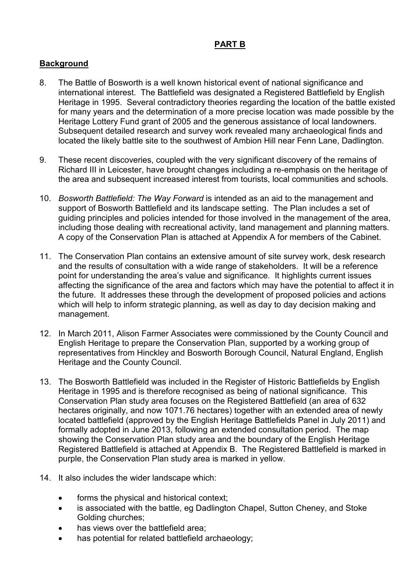## PART B

## **Background**

- 8. The Battle of Bosworth is a well known historical event of national significance and international interest. The Battlefield was designated a Registered Battlefield by English Heritage in 1995. Several contradictory theories regarding the location of the battle existed for many years and the determination of a more precise location was made possible by the Heritage Lottery Fund grant of 2005 and the generous assistance of local landowners. Subsequent detailed research and survey work revealed many archaeological finds and located the likely battle site to the southwest of Ambion Hill near Fenn Lane, Dadlington.
- 9. These recent discoveries, coupled with the very significant discovery of the remains of Richard III in Leicester, have brought changes including a re-emphasis on the heritage of the area and subsequent increased interest from tourists, local communities and schools.
- 10. Bosworth Battlefield: The Way Forward is intended as an aid to the management and support of Bosworth Battlefield and its landscape setting. The Plan includes a set of guiding principles and policies intended for those involved in the management of the area, including those dealing with recreational activity, land management and planning matters. A copy of the Conservation Plan is attached at Appendix A for members of the Cabinet.
- 11. The Conservation Plan contains an extensive amount of site survey work, desk research and the results of consultation with a wide range of stakeholders. It will be a reference point for understanding the area's value and significance. It highlights current issues affecting the significance of the area and factors which may have the potential to affect it in the future. It addresses these through the development of proposed policies and actions which will help to inform strategic planning, as well as day to day decision making and management.
- 12. In March 2011, Alison Farmer Associates were commissioned by the County Council and English Heritage to prepare the Conservation Plan, supported by a working group of representatives from Hinckley and Bosworth Borough Council, Natural England, English Heritage and the County Council.
- 13. The Bosworth Battlefield was included in the Register of Historic Battlefields by English Heritage in 1995 and is therefore recognised as being of national significance. This Conservation Plan study area focuses on the Registered Battlefield (an area of 632 hectares originally, and now 1071.76 hectares) together with an extended area of newly located battlefield (approved by the English Heritage Battlefields Panel in July 2011) and formally adopted in June 2013, following an extended consultation period. The map showing the Conservation Plan study area and the boundary of the English Heritage Registered Battlefield is attached at Appendix B. The Registered Battlefield is marked in purple, the Conservation Plan study area is marked in yellow.
- 14. It also includes the wider landscape which:
	- forms the physical and historical context;
	- is associated with the battle, eg Dadlington Chapel, Sutton Cheney, and Stoke Golding churches;
	- has views over the battlefield area;
	- has potential for related battlefield archaeology;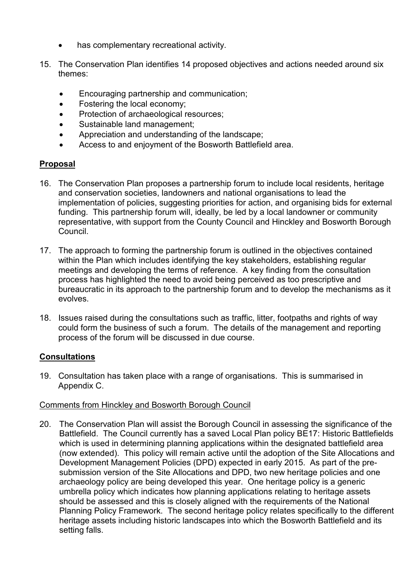- has complementary recreational activity.
- 15. The Conservation Plan identifies 14 proposed objectives and actions needed around six themes:
	- Encouraging partnership and communication;
	- Fostering the local economy;
	- Protection of archaeological resources;
	- Sustainable land management;
	- Appreciation and understanding of the landscape;
	- Access to and enjoyment of the Bosworth Battlefield area.

#### Proposal

- 16. The Conservation Plan proposes a partnership forum to include local residents, heritage and conservation societies, landowners and national organisations to lead the implementation of policies, suggesting priorities for action, and organising bids for external funding. This partnership forum will, ideally, be led by a local landowner or community representative, with support from the County Council and Hinckley and Bosworth Borough Council.
- 17. The approach to forming the partnership forum is outlined in the objectives contained within the Plan which includes identifying the key stakeholders, establishing regular meetings and developing the terms of reference. A key finding from the consultation process has highlighted the need to avoid being perceived as too prescriptive and bureaucratic in its approach to the partnership forum and to develop the mechanisms as it evolves.
- 18. Issues raised during the consultations such as traffic, litter, footpaths and rights of way could form the business of such a forum. The details of the management and reporting process of the forum will be discussed in due course.

#### **Consultations**

19. Consultation has taken place with a range of organisations. This is summarised in Appendix C.

#### Comments from Hinckley and Bosworth Borough Council

20. The Conservation Plan will assist the Borough Council in assessing the significance of the Battlefield. The Council currently has a saved Local Plan policy BE17: Historic Battlefields which is used in determining planning applications within the designated battlefield area (now extended). This policy will remain active until the adoption of the Site Allocations and Development Management Policies (DPD) expected in early 2015. As part of the presubmission version of the Site Allocations and DPD, two new heritage policies and one archaeology policy are being developed this year. One heritage policy is a generic umbrella policy which indicates how planning applications relating to heritage assets should be assessed and this is closely aligned with the requirements of the National Planning Policy Framework. The second heritage policy relates specifically to the different heritage assets including historic landscapes into which the Bosworth Battlefield and its setting falls.